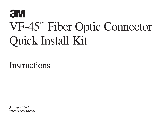# **3M** VF-45™ Fiber Optic Connector Quick Install Kit

**Instructions** 

*January 2004 78-8097-8734-0-D*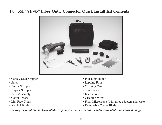## **1.0 3M™ VF-45™ Fiber Optic Connector Quick Install Kit Contents**



- Cable Jacket Stripper
- Snips
- Buffer Stripper
- Duplex Stripper
- Puck Assembly
- Cotton Swabs
- Lint Free Cloths
- Alcohol Bottle
- Polishing Station
- Lapping Film
- Carrying Case
- Tool Pouch
- Instructions
- Cleaning Wires
- Fiber Microscope (with three adapters and case)
- Removable Cleave Blade

*Warning: Do not touch cleave blade. Any material or solvent that contacts the blade can cause damage.*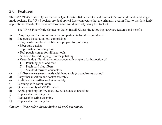## **2.0 Features**

The 3M™ VF-45™ Fiber Optic Connector Quick Install Kit is used to field terminate VF-45 multimode and single mode sockets. The VF-45 sockets are dual optical fiber connectors that are primarily used in fiber-to-the-desk LAN applications. The duplex fibers are terminated simultaneously using this tool kit.

The VF-45 Fiber Optic Connector Quick Install Kit has the following hardware features and benefits:

- a) Carrying case for ease of use with compartments for all required tools.
- b) Integrated installation tool comprising:
	- Easy scribe and break of fibers to prepare for polishing
	- Fiber stub catcher
	- Slip resistant polishing base
	- Tool pouch storage for all hand tools
	- Adhesive backed lapping film for polishing
	- Versatile dual illumination microscope with adapters for inspection of:
		- 1) Polishing puck end-face
		- 2) Patch cord plug-fibers
		- 3) Standard ferruled connectors
- c) All fiber measurements made with hand tools (no precise measuring)
- d) Easy fiber insertion and socket assembly
- e) Audible click verifies socket assembly
- f) Cleaning with cotton swab
- g) Quick assembly of VF-45 socket
- h) Angle polishing for low loss, low reflectance connections
- i) Replaceable polishing pad
- j) Replaceable scribe assembly
- k) Replaceable polishing face

#### *Caution: Wear safety glasses during all work operations.*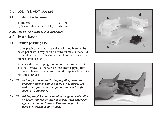## **3.0 3M ™ VF-45 ™ Socket**

#### 3.1 **Contains the following:**

 a) Housing c) Boot b) Socket fiber holder (SFH) d) Base

*Note: The VF-45 Socket is sold separately.*

## **4.0 Installation**

#### 4.1 **Position polishing base.**

 At the patch panel area, place the polishing base on the patch panel work tray or on a nearby suitable surface. At the work area outlet, choose a suitable surface. Open the hinged scribe cover.

 Attach a sheet of lapping film to polishing surface of the station. Removal of the release liner from lapping film exposes adhesive backing to secure the lapping film to the polishing surface.

- *Tech Tip: Before placement of the lapping film, clean the polishing surface with a lint free wipe moistened with isopropyl alcohol. Lapping film will last for about 50 connectors.*
- *Tech Tip: All Isopropyl Alcohol should be reagent grade, 99% or better. The use of inferior alcohol will adversely effect interconnect losses. This can be purchased from a chemical supply house.*



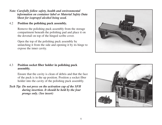- *Note: Carefully follow safety, health and environmental information on container label or Material Safety Data Sheet for isopropyl alcohol being used.*
- 4.2 **Position the polishing puck assembly.**

 Remove the polishing puck assembly from the storage compartment beneath the polishing pad and place it on the dovetail on top of the hinged scribe cover.

 Open the top of the polishing puck assembly by unlatching it from the side and opening it by its hinge to expose the inner cavity.



#### 4.3 **Position socket fiber holder in polishing puck assembly.**

 Ensure that the cavity is clean of debris and that the face of the puck is in the up position. Position a socket fiber holder into the cavity of the polishing puck assembly.

*Tech Tip: Do not press on the activation cap of the SFH during insertion. It should be held by the four prongs only. (See insert)*

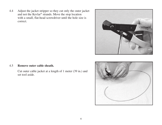4.4 Adjust the jacket stripper so they cut only the outer jacket and not the Kevlar® strands. Move the stop location with a small, flat-head screwdriver until the hole size is correct.



#### 4.5 **Remove outer cable sheath.**

 Cut outer cable jacket at a length of 1 meter (39 in.) and set tool aside.

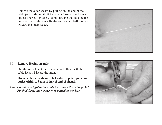Remove the outer sheath by pulling on the end of the cable jacket, sliding it off the Kevlar® strands and inner optical fiber buffer tubes. Do not use the tool to slide the outer jacket off the inner Kevlar strands and buffer tubes. Discard the outer jacket.



#### 4.6 **Remove Kevlar strands.**

 Use the snips to cut the Kevlar strands flush with the cable jacket. Discard the strands.

 **Use a cable tie to strain relief cable in patch panel or outlet within 2.5 mm (1 in.) of end of sheath.**

*Note: Do not over tighten the cable tie around the cable jacket. Pinched fibers may experience optical power loss.*

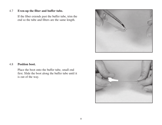#### 4.7 **Even-up the fiber and buffer tube.**

 If the fiber extends past the buffer tube, trim the end so the tube and fibers are the same length.



#### 4.8 **Position boot.**

 Place the boot onto the buffer tube, small end first. Slide the boot along the buffer tube until it is out of the way.

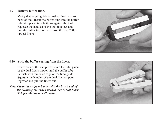#### 4.9 **Remove buffer tube.**

 Verify that length guide is pushed flush against back of tool. Insert the buffer tube into the buffer tube stripper until it bottoms against the tool. Squeeze the handles of the tool together and pull the buffer tube off to expose the two  $250 \mu$ optical fibers.



#### 4.10 **Strip the buffer coating from the fibers.**

 Insert both of the 250 µ fibers into the tube guide of the dual fiber stripper until the buffer tube is flush with the outer edge of the tube guide. Squeeze the handles of the dual fiber stripper together and pull the fibers out.

*Note: Clean the stripper blades with the brush end of the cleaning tool when needed. See "Dual Fiber Stripper Maintenance" section.*

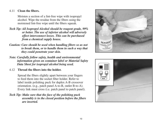#### 4.11 **Clean the fibers.**

 Moisten a section of a lint-free wipe with isopropyl alcohol. Wipe the residue from the fibers using the moistened lint-free wipe until the fibers squeak.

- *Tech Tip: All Isopropyl Alcohol should be reagent grade, 99% or better. The use of inferior alcohol will adversely effect interconnect losses. This can be purchased from a chemical supply house.*
- *Caution: Care should be used when handling fibers so as not to break them, or to handle them in such a way that they could penetrate your skin.*
- *Note: Carefully follow safety, health and environmental information given on container label or Material Safety Data Sheet for isopropyl alcohol being used.*
- 4.12 **Thread the fibers into the holder.**

 Spread the fibers slightly apart between your fingers to feed them into the socket fiber holder. Refer to label inside polishing puck for duplex A-B crossover orientation. (e.g., patch panel A-to-B, outlet B-to-A). Every link must cross (i.e. patch panel to patch panel).

*Tech Tip: Make sure that the face of the polishing puck assembly is in the closed position before the fibers are inserted.*



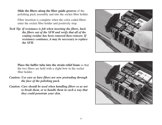**Slide the fibers along the fiber guide grooves** of the polishing puck assembly and into the socket fiber holder.

 Fiber insertion is complete when the color coded fibers enter the socket fiber holder and positively stop.

*Tech Tip: If resistance is felt when inserting the fibers, back the fibers out of the SFH and verify that all of the coating residue has been removed then reinsert. If resistance continues, it may be necessary to replace the SFH.*



**Place the buffer tube into the strain relief foam** so that the two fibers are held with a slight bow in the socket fiber holder.

- *Caution: Use care as bare fibers are now protruding through the face of the polishing puck.*
- *Caution: Care should be used when handling fibers so as not to break them, or to handle them in such a way that they could penetrate your skin.*

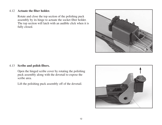#### 4.12 **Actuate the fiber holder.**

 Rotate and close the top section of the polishing puck assembly by its hinge to actuate the socket fiber holder. The top section will latch with an audible click when it is fully closed.



#### 4.13 **Scribe and polish fibers.**

 Open the hinged scribe cover by rotating the polishing puck assembly along with the dovetail to expose the scribe area.

Lift the polishing puck assembly off of the dovetail.

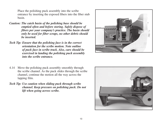Place the polishing puck assembly into the scribe entrance by inserting the exposed fibers into the fiber stub basin.

- *Caution: The catch basin of the polishing base should be emptied often and before storing. Safely dispose of fibers per your company's practice. The basin should only be used for fiber scraps, no other debris should be inserted.*
- *Tech Tip: Ensure that the polishing face is in the correct orientation for the scribe motion. Note outline of puck face in scribe track. Also, care should be exercised in landing the polishing puck assembly into the scribe entrance.*



- 4.14 Move the polishing puck assembly smoothly through the scribe channel. As the puck slides through the scribe channel, continue the motion all the way across the lapping film.
- *Tech Tip: Use caution when sliding puck through scribe channel. Keep pressure on polishing puck. Do not lift when going across scribe.*

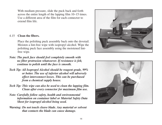With medium pressure, slide the puck back and forth across the entire length of the lapping film 10–15 times. Use a different area of the film for each connector to extend film life.

#### 4.15 **Clean the fibers.**

 Place the polishing puck assembly back onto the dovetail. Moisten a lint-free wipe with isopropyl alcohol. Wipe the polishing puck face assembly using the moistened lintfree wipe.

- *Note: The puck face should feel completely smooth with no fiber protrusion whatsoever. If resistance is felt, continue to polish until the face is smooth.*
- *Tech Tip: All Isopropyl Alcohol should be reagent grade, 99% or better. The use of inferior alcohol will adversely effect interconnect losses. This can be purchased from a chemical supply house.*
- *Tech Tip: This wipe can also be used to clean the lapping film. Clean after every connector for maximum film use.*
- *Note: Carefully follow safety, health and environmental information on container label or Material Safety Data Sheet for isopropyl alcohol being used.*
- *Warning: Do not touch cleave blade. Any material or solvent that contacts the blade can cause damage.*



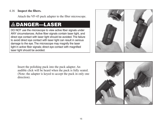#### 4.16 **Inspect the fibers.**

Attach the VF-45 puck adapter to the fiber microscope.

# DANGER—LASER

DO NOT use the microscope to view active fiber signals under ANY circumstances. Active fiber signals contain laser light, and direct eye contact with laser light should be avoided. The failure to avoid direct eye contact with laser light can result in serious damage to the eye. The microscope may magnify the laser light in active fiber signals; direct eye contact with magnified laser light should be avoided.



 Insert the polishing puck into the puck adapter. An audible click will be heard when the puck is fully seated. (Note: the adapter is keyed to accept the puck in only one direction).

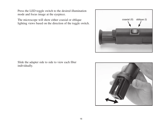Press the LED toggle switch to the desired illumination mode and focus image at the eyepiece.

 The microscope will show either coaxial or oblique lighting views based on the direction of the toggle switch.



 Slide the adapter side to side to view each fiber individually.

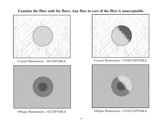**Examine the fiber ends for flaws. Any flaw in core of the fiber is unacceptable.** 







Coaxial Illumination—ACCEPTABLE Coaxial Illumination—UNACCEPTABLE



Oblique Illumination—ACCEPTABLE Oblique Illumination—UNACCEPTABLE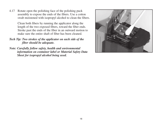4.17 Rotate open the polishing face of the polishing puck assembly to expose the ends of the fibers. Use a cotton swab moistened with isopropyl alcohol to clean the fibers.

> Clean both fibers by running the applicator along the length of the two exposed fibers, toward the fiber ends. Stroke past the ends of the fiber in an outward motion to make sure the entire shaft of fiber has been cleaned.

#### *Tech Tip: Two strokes of the applicator on each side of the fiber should be adequate.*

*Note: Carefully follow safety, health and environmental information on container label or Material Safety Data Sheet for isopropyl alcohol being used.*

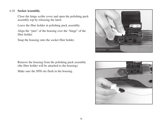#### 4.18 **Socket Assembly.**

 Close the hinge scribe cover and open the polishing puck assembly top by releasing the latch.

Leave the fiber holder in polishing puck assembly.

 Align the "pins" of the housing over the "hinge" of the fiber holder.

Snap the housing onto the socket fiber holder.

 Remove the housing from the polishing puck assembly (the fiber holder will be attached to the housing).

Make sure the SFH sits flush in the housing.



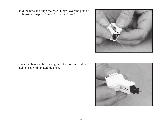Hold the base and align the base "hinge" over the pins of the housing. Snap the "hinge" over the "pins."



 Rotate the base on the housing until the housing and base latch closed with an audible click.

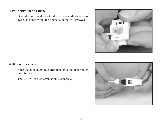#### 4.19 **Verify fiber position.**

 Open the housing door with the wooden end of the cotton swab, and ensure that the fibers lie in the "V" grooves.



#### 4.20 **Boot Placement.**

 Slide the boot along the buffer tube onto the fiber holder until fully seated.

The VF-45™ socket termination is complete.

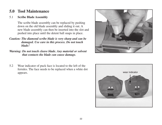## **5.0 Tool Maintenance**

#### 5.1 **Scribe Blade Assembly**

 The scribe blade assembly can be replaced by pushing down on the old blade assembly and sliding it out. A new blade assembly can then be inserted into the slot and pushed into place until the detent ball snaps in place.

- *Caution: The diamond scribe blade is very sharp and can be damaged. Use care in this process. Do not touch blade!*
- *Warning: Do not touch cleave blade. Any material or solvent that contacts the blade can cause damage.*
- 5.2 Wear indicator of puck face is located to the left of the ferrules. The face needs to be replaced when a white dot appears. wear indicator



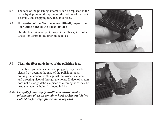- 5.3 The face of the polishing assembly can be replaced in the fields by depressing the spring on the bottom of the puck assembly and snapping new face into place.
- 5.4 **If insertion of the fiber becomes difficult, inspect the fiber guide holes of the polishing face.**

 Use the fiber view scope to inspect the fiber guide holes. Check for debris in the fiber guide holes.



#### 5.5 **Clean the fiber guide holes of the polishing face.**

 If the fiber guide holes become plugged, they may be cleaned by opening the face of the polishing puck, holding the alcohol bottle against the inside face area and directing alcohol through the holes. If alcohol stream does not dislodge debris, a piece of cleaning wire may be used to clean the holes (included in kit).

*Note: Carefully follow safety, health and environmental information given on container label or Material Safety Data Sheet for isopropyl alcohol being used.*

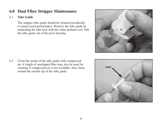## **6.0 Dual Fiber Stripper Maintenance**

#### 6.1 **Tube Guide**

 The stripper tube guide should be cleaned periodically to ensure good performance. Remove the tube guide by unlatching the tube lock with the white pushout tool. Pull the tube guide out of the pivot housing.

- 
- 6.2 Clean the inside of the tube guide with compressed air. A length of unstripped fiber may also be used for cleaning if compressed air is not available. Also clean around the outside tip of the tube guide.

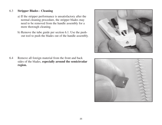#### 6.3 **Stripper Blades - Cleaning**

- a) If the stripper performance is unsatisfactory after the normal cleaning procedure, the stripper blades may need to be removed from the handle assembly for a more thorough cleaning.
- b) Remove the tube guide per section 6.1. Use the pushout tool to push the blades out of the handle assembly.

6.4 Remove all foreign material from the front and back sides of the blades, **especially around the semicircular region.**



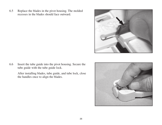6.5 Replace the blades in the pivot housing. The molded recesses in the blades should face outward.



6.6 Insert the tube guide into the pivot housing. Secure the tube guide with the tube guide lock.

> After installing blades, tube guide, and tube lock, close the handles once to align the blades.

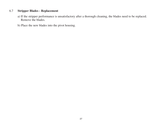#### 6.7 **Stripper Blades - Replacement**

- a) If the stripper performance is unsatisfactory after a thorough cleaning, the blades need to be replaced. Remove the blades.
- b) Place the new blades into the pivot housing.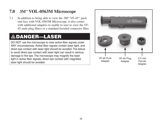## **7.0 3M™ VOL-0563M Microscope**

7.1 In addition to being able to view the  $3M^m$  VF-45<sup>m</sup> puck end face with VOL-0563M Microscope, it also comes with additional adapters to enable to user to view the VF-45 male plug fibers or a standard ferruled connector fiber.

# DANGER—LASER

DO NOT use the microscope to view active fiber signals under ANY circumstances. Active fiber signals contain laser light, and direct eye contact with laser light should be avoided. The failure to avoid direct eye contact with laser light can result in serious damage to the eye. The microscope may magnify the laser light in active fiber signals; direct eye contact with magnified laser light should be avoided.

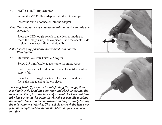#### 7.2 3M™ **VF-45**™ **Plug Adapter**

Screw the VF-45 Plug adapter onto the microscope.

Insert the VF-45 connector into the adapter.

#### *Note: The adapter is keyed to accept this connector in only one direction.*

 Press the LED toggle switch to the desired mode and focus the image using the eyepiece. Slide the adapter side to side to view each fiber individually.

#### *Note: VF-45 plug fibers are best viewed with coaxial illumination.*

#### 7.3 **Universal 2.5 mm Ferrule Adapter**

Screw 2.5 mm ferrule adapter onto the microscope.

 Slide a connector ferrule into the adapter until a positive stop is felt.

 Press the LED toggle switch to the desired mode and focus the image using the eyepiece.

*Focusing Hint: If you have trouble finding the image, there is a simple trick. Load the connector and check to see that the light is on. Then, turn the focus adjustment clockwise until the tube hits a stop. At this point the objective is actually touching the sample. Look into the microscope and begin slowly turning the tube counter-clockwise. This will slowly back the lens away from the sample and eventually the fiber end face will come into focus.*



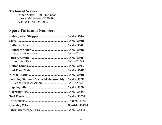### **Technical Service**

United States: 1-800-426-8688 Europe: 0-11-49-40-7520302 Asia: 0-11-65-354-2033

## **Spare Parts and Numbers**

| Polishing Station w/scribe blade assembly  VOL-0562H |  |
|------------------------------------------------------|--|
|                                                      |  |
|                                                      |  |
|                                                      |  |
|                                                      |  |
|                                                      |  |
|                                                      |  |